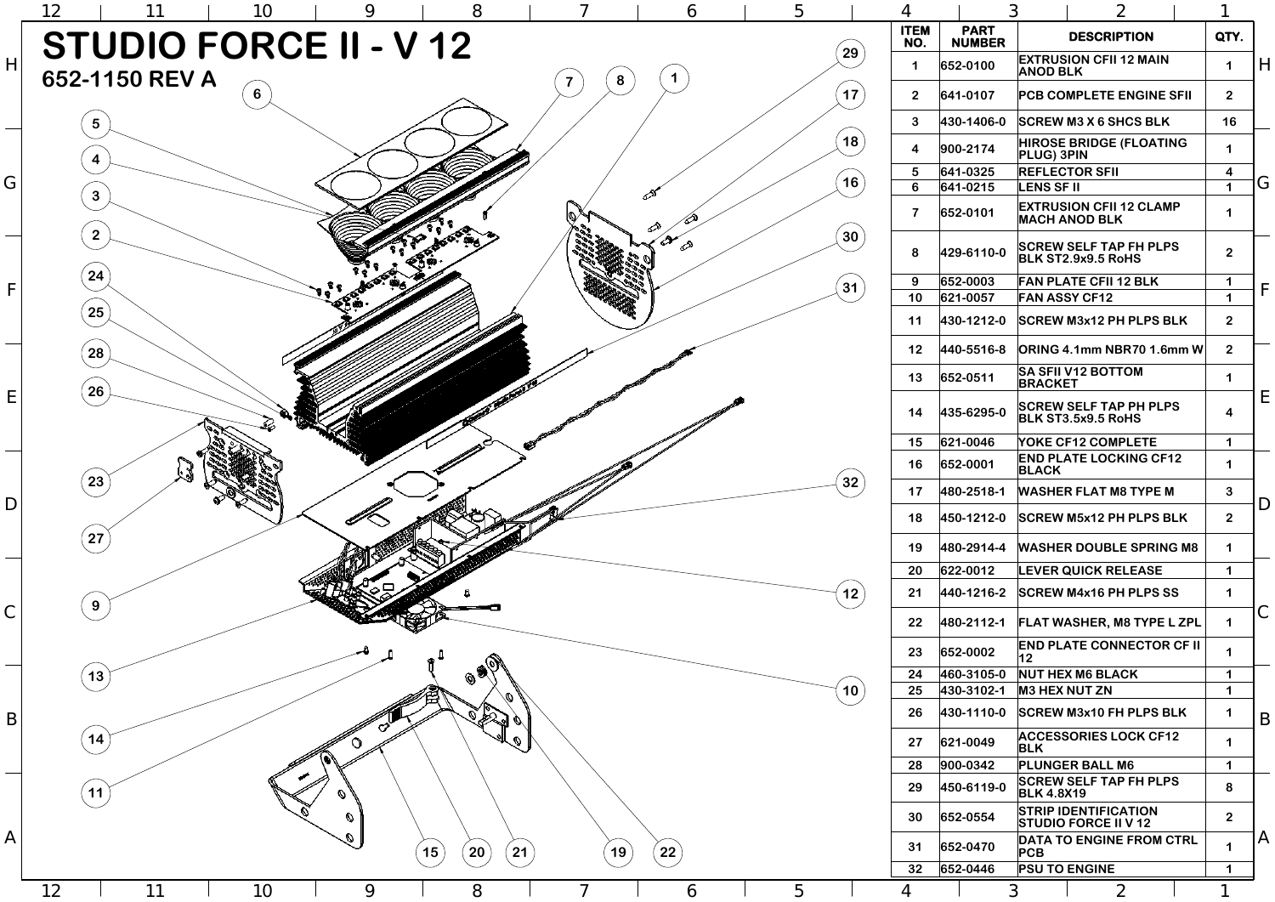2



6

5

4

3 1

|                                                                                                                                                                                                                                |   | <b>ITEM</b><br>NO.            | <b>PART</b><br><b>NUMBER</b> | <b>DESCRIPTION</b>                                         | QTY.                    |              |
|--------------------------------------------------------------------------------------------------------------------------------------------------------------------------------------------------------------------------------|---|-------------------------------|------------------------------|------------------------------------------------------------|-------------------------|--------------|
|                                                                                                                                                                                                                                |   | 29<br>1                       | 652-0100                     | <b>EXTRUSION CFII 12 MAIN</b><br><b>ANOD BLK</b>           | 1                       | H            |
|                                                                                                                                                                                                                                |   | 17<br>2 <sup>2</sup>          | 641-0107                     | <b>PCB COMPLETE ENGINE SFII</b>                            | 2 <sup>1</sup>          |              |
|                                                                                                                                                                                                                                |   | $\mathbf{3}$                  | 430-1406-0                   | <b>SCREW M3 X 6 SHCS BLK</b>                               | 16                      |              |
|                                                                                                                                                                                                                                |   | 18<br>$\overline{\mathbf{4}}$ | 900-2174                     | <b>HIROSE BRIDGE (FLOATING</b><br><b>PLUG) 3PIN</b>        | 1                       |              |
|                                                                                                                                                                                                                                |   | $5\phantom{1}$                | 641-0325                     | <b>REFLECTOR SFII</b>                                      | $\overline{\mathbf{4}}$ |              |
|                                                                                                                                                                                                                                |   | 16<br>6                       | 641-0215                     | <b>LENS SF II</b>                                          | 1                       | G            |
| ∕∕                                                                                                                                                                                                                             |   | $\overline{\mathbf{7}}$       | 652-0101                     | <b>EXTRUSION CFII 12 CLAMP</b><br><b>MACH ANOD BLK</b>     | 1                       |              |
| ⇗                                                                                                                                                                                                                              |   | 30<br>8                       | 429-6110-0                   | <b>SCREW SELF TAP FH PLPS</b><br><b>BLK ST2.9x9.5 RoHS</b> | $\overline{2}$          |              |
|                                                                                                                                                                                                                                |   | 9                             | 652-0003                     | <b>FAN PLATE CFII 12 BLK</b>                               | 1                       |              |
|                                                                                                                                                                                                                                |   | 31<br>10                      | 621-0057                     | <b>FAN ASSY CF12</b>                                       | 1                       | $\mathsf{F}$ |
|                                                                                                                                                                                                                                |   | 11                            | 430-1212-0                   | <b>SCREW M3x12 PH PLPS BLK</b>                             | 2 <sup>1</sup>          |              |
|                                                                                                                                                                                                                                |   | 12                            | 440-5516-8                   | ORING 4.1mm NBR70 1.6mm W                                  | 2 <sup>2</sup>          |              |
|                                                                                                                                                                                                                                |   | 13                            | 652-0511                     | <b>SA SFII V12 BOTTOM</b><br><b>BRACKET</b>                |                         |              |
| Property of the Concession of the Concession of the Concession of the Concession of the Concession of the Concession of the Concession of the Concession of the Concession of the Concession of the Concession of the Concessi |   | 14                            | 435-6295-0                   | <b>SCREW SELF TAP PH PLPS</b><br><b>BLK ST3.5x9.5 RoHS</b> | $\overline{\mathbf{4}}$ | E            |
|                                                                                                                                                                                                                                |   | 15                            | 621-0046                     | <b>YOKE CF12 COMPLETE</b>                                  | 1                       |              |
|                                                                                                                                                                                                                                |   | 16                            | 652-0001                     | <b>END PLATE LOCKING CF12</b><br><b>BLACK</b>              | 1                       |              |
|                                                                                                                                                                                                                                |   | 32<br>17                      | 480-2518-1                   | <b>WASHER FLAT M8 TYPE M</b>                               | $\mathbf{3}$            | D            |
|                                                                                                                                                                                                                                |   | 18                            | 450-1212-0                   | <b>SCREW M5x12 PH PLPS BLK</b>                             | 2 <sup>1</sup>          |              |
|                                                                                                                                                                                                                                |   | 19                            | 480-2914-4                   | <b>WASHER DOUBLE SPRING M8</b>                             | 1                       |              |
|                                                                                                                                                                                                                                |   | 20                            | 622-0012                     | <b>LEVER QUICK RELEASE</b>                                 | 1                       |              |
|                                                                                                                                                                                                                                |   | $12$<br>21                    | 440-1216-2                   | <b>SCREW M4x16 PH PLPS SS</b>                              | 1                       |              |
|                                                                                                                                                                                                                                |   | 22                            | 480-2112-1                   | <b>FLAT WASHER, M8 TYPE L ZPL</b>                          | 1                       | C            |
|                                                                                                                                                                                                                                |   | 23                            | 652-0002                     | <b>END PLATE CONNECTOR CF II</b><br>12                     | 1                       |              |
|                                                                                                                                                                                                                                |   | 24                            | 460-3105-0                   | <b>NUT HEX M6 BLACK</b>                                    | 1                       |              |
|                                                                                                                                                                                                                                |   | 10<br>25                      | 430-3102-1                   | <b>M3 HEX NUT ZN</b>                                       | 1                       |              |
|                                                                                                                                                                                                                                |   | 26                            | 430-1110-0                   | <b>SCREW M3x10 FH PLPS BLK</b>                             | 1                       | B            |
|                                                                                                                                                                                                                                |   | 27                            | 621-0049                     | <b>ACCESSORIES LOCK CF12</b><br><b>BLK</b>                 | 1                       |              |
|                                                                                                                                                                                                                                |   | 28                            | 900-0342                     | <b>PLUNGER BALL M6</b>                                     | 1                       |              |
|                                                                                                                                                                                                                                |   | 29                            | 450-6119-0                   | <b>SCREW SELF TAP FH PLPS</b><br><b>BLK 4.8X19</b>         | 8                       |              |
|                                                                                                                                                                                                                                |   | 30                            | 652-0554                     | <b>STRIP IDENTIFICATION</b><br><b>STUDIO FORCE II V 12</b> | $\overline{2}$          |              |
|                                                                                                                                                                                                                                |   | 31                            | 652-0470                     | DATA TO ENGINE FROM CTRL<br>PCB                            | 1                       | $\mathsf{A}$ |
|                                                                                                                                                                                                                                |   | 32                            | 652-0446                     | <b>PSU TO ENGINE</b>                                       | 1                       |              |
| 6                                                                                                                                                                                                                              | 5 | 4                             |                              | $\mathfrak{Z}$<br>$\overline{2}$                           |                         |              |